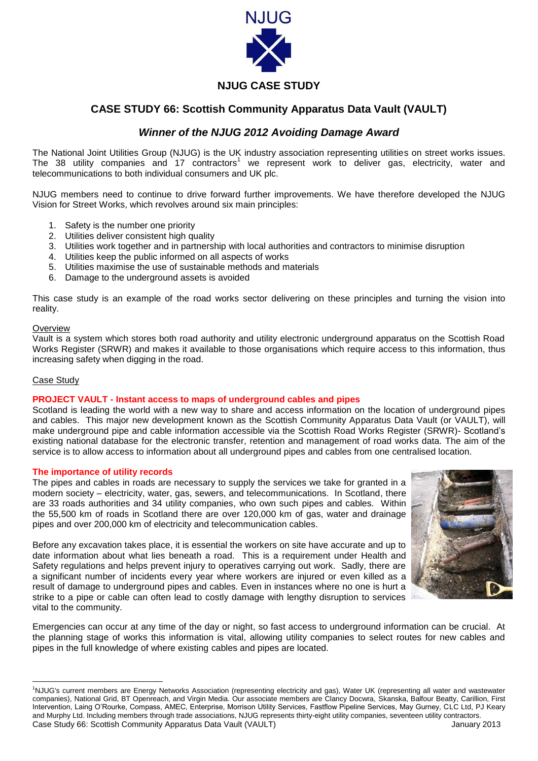

## **NJUG CASE STUDY**

# **CASE STUDY 66: Scottish Community Apparatus Data Vault (VAULT)**

## *Winner of the NJUG 2012 Avoiding Damage Award*

The National Joint Utilities Group (NJUG) is the UK industry association representing utilities on street works issues. The 38 utility companies and 17 contractors<sup>1</sup> we represent work to deliver gas, electricity, water and telecommunications to both individual consumers and UK plc.

NJUG members need to continue to drive forward further improvements. We have therefore developed the NJUG Vision for Street Works, which revolves around six main principles:

- 1. Safety is the number one priority
- 2. Utilities deliver consistent high quality
- 3. Utilities work together and in partnership with local authorities and contractors to minimise disruption
- 4. Utilities keep the public informed on all aspects of works
- 5. Utilities maximise the use of sustainable methods and materials
- 6. Damage to the underground assets is avoided

This case study is an example of the road works sector delivering on these principles and turning the vision into reality.

#### **Overview**

Vault is a system which stores both road authority and utility electronic underground apparatus on the Scottish Road Works Register (SRWR) and makes it available to those organisations which require access to this information, thus increasing safety when digging in the road.

#### Case Study

1

### **PROJECT VAULT - Instant access to maps of underground cables and pipes**

Scotland is leading the world with a new way to share and access information on the location of underground pipes and cables. This major new development known as the Scottish Community Apparatus Data Vault (or VAULT), will make underground pipe and cable information accessible via the Scottish Road Works Register (SRWR)- Scotland's existing national database for the electronic transfer, retention and management of road works data. The aim of the service is to allow access to information about all underground pipes and cables from one centralised location.

#### **The importance of utility records**

The pipes and cables in roads are necessary to supply the services we take for granted in a modern society – electricity, water, gas, sewers, and telecommunications. In Scotland, there are 33 roads authorities and 34 utility companies, who own such pipes and cables. Within the 55,500 km of roads in Scotland there are over 120,000 km of gas, water and drainage pipes and over 200,000 km of electricity and telecommunication cables.

Before any excavation takes place, it is essential the workers on site have accurate and up to date information about what lies beneath a road. This is a requirement under Health and Safety regulations and helps prevent injury to operatives carrying out work. Sadly, there are a significant number of incidents every year where workers are injured or even killed as a result of damage to underground pipes and cables. Even in instances where no one is hurt a strike to a pipe or cable can often lead to costly damage with lengthy disruption to services vital to the community.



Emergencies can occur at any time of the day or night, so fast access to underground information can be crucial. At the planning stage of works this information is vital, allowing utility companies to select routes for new cables and pipes in the full knowledge of where existing cables and pipes are located.

Case Study 66: Scottish Community Apparatus Data Vault (VAULT) January 2013 <sup>1</sup>NJUG's current members are Energy Networks Association (representing electricity and gas), Water UK (representing all water and wastewater companies), National Grid, BT Openreach, and Virgin Media. Our associate members are Clancy Docwra, Skanska, Balfour Beatty, Carillion, First Intervention, Laing O'Rourke, Compass, AMEC, Enterprise, Morrison Utility Services, Fastflow Pipeline Services, May Gurney, CLC Ltd, PJ Keary and Murphy Ltd. Including members through trade associations, NJUG represents thirty-eight utility companies, seventeen utility contractors.